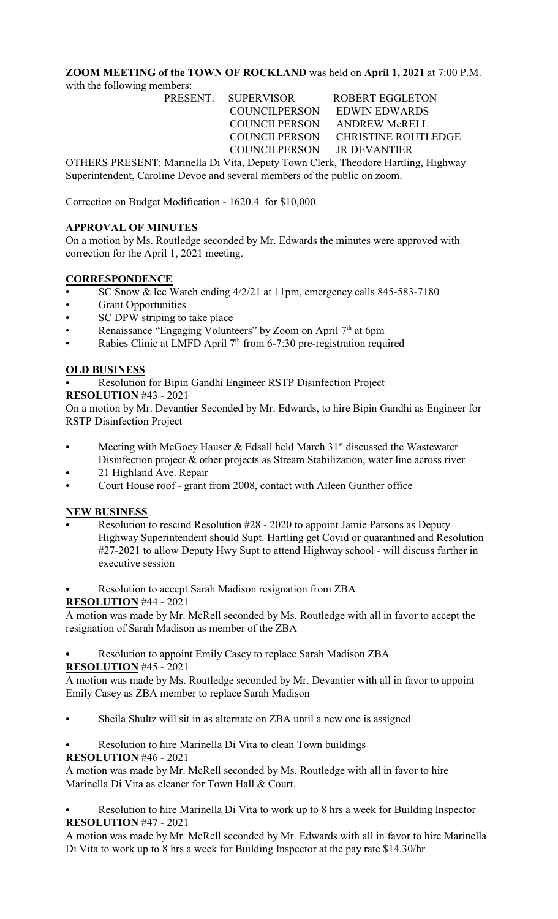## **ZOOM MEETING of the TOWN OF ROCKLAND** was held on **April 1, 2021** at 7:00 P.M. with the following members:

PRESENT: SUPERVISOR ROBERT EGGLETON COUNCILPERSON EDWIN EDWARDS COUNCILPERSON ANDREW McRELL COUNCILPERSON CHRISTINE ROUTLEDGE COUNCILPERSON JR DEVANTIER

OTHERS PRESENT: Marinella Di Vita, Deputy Town Clerk, Theodore Hartling, Highway Superintendent, Caroline Devoe and several members of the public on zoom.

Correction on Budget Modification - 1620.4 for \$10,000.

## **APPROVAL OF MINUTES**

On a motion by Ms. Routledge seconded by Mr. Edwards the minutes were approved with correction for the April 1, 2021 meeting.

# **CORRESPONDENCE**

- SC Snow & Ice Watch ending 4/2/21 at 11pm, emergency calls 845-583-7180
- **Grant Opportunities**
- SC DPW striping to take place
- Renaissance "Engaging Volunteers" by Zoom on April  $7<sup>th</sup>$  at 6pm
- Rabies Clinic at LMFD April 7<sup>th</sup> from 6-7:30 pre-registration required

# **OLD BUSINESS**

Resolution for Bipin Gandhi Engineer RSTP Disinfection Project

## **RESOLUTION** #43 - 2021

On a motion by Mr. Devantier Seconded by Mr. Edwards, to hire Bipin Gandhi as Engineer for RSTP Disinfection Project

- Meeting with McGoey Hauser & Edsall held March  $31<sup>st</sup>$  discussed the Wastewater Disinfection project & other projects as Stream Stabilization, water line across river
- 21 Highland Ave. Repair
- Court House roof grant from 2008, contact with Aileen Gunther office

## **NEW BUSINESS**

- Resolution to rescind Resolution  $#28 2020$  to appoint Jamie Parsons as Deputy Highway Superintendent should Supt. Hartling get Covid or quarantined and Resolution #27-2021 to allow Deputy Hwy Supt to attend Highway school - will discuss further in executive session
- Resolution to accept Sarah Madison resignation from ZBA

## **RESOLUTION** #44 - 2021

A motion was made by Mr. McRell seconded by Ms. Routledge with all in favor to accept the resignation of Sarah Madison as member of the ZBA

# Resolution to appoint Emily Casey to replace Sarah Madison ZBA

## **RESOLUTION** #45 - 2021

A motion was made by Ms. Routledge seconded by Mr. Devantier with all in favor to appoint Emily Casey as ZBA member to replace Sarah Madison

- Sheila Shultz will sit in as alternate on ZBA until a new one is assigned
- Resolution to hire Marinella Di Vita to clean Town buildings

## **RESOLUTION** #46 - 2021

A motion was made by Mr. McRell seconded by Ms. Routledge with all in favor to hire Marinella Di Vita as cleaner for Town Hall & Court.

Resolution to hire Marinella Di Vita to work up to 8 hrs a week for Building Inspector **RESOLUTION** #47 - 2021

A motion was made by Mr. McRell seconded by Mr. Edwards with all in favor to hire Marinella Di Vita to work up to 8 hrs a week for Building Inspector at the pay rate \$14.30/hr